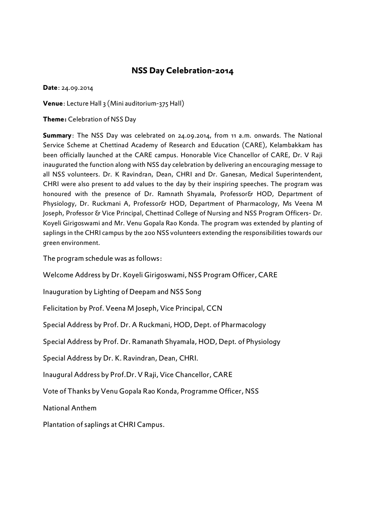## **NSS Day Celebration-2014**

**Date**: 24.09.2014

**Venue**: Lecture Hall 3 (Mini auditorium-375 Hall)

**Theme:** Celebration of NSS Day

**Summary**: The NSS Day was celebrated on 24.09.2014, from 11 a.m. onwards. The National Service Scheme at Chettinad Academy of Research and Education (CARE), Kelambakkam has been officially launched at the CARE campus. Honorable Vice Chancellor of CARE, Dr. V Raji inaugurated the function along with NSS day celebration by delivering an encouraging message to all NSS volunteers. Dr. K Ravindran, Dean, CHRI and Dr. Ganesan, Medical Superintendent, CHRI were also present to add values to the day by their inspiring speeches. The program was honoured with the presence of Dr. Ramnath Shyamala, Professor& HOD, Department of Physiology, Dr. Ruckmani A, Professor& HOD, Department of Pharmacology, Ms Veena M Joseph, Professor & Vice Principal, Chettinad College of Nursing and NSS Program Officers- Dr. Koyeli Girigoswami and Mr. Venu Gopala Rao Konda. The program was extended by planting of saplings in the CHRI campus by the 200 NSS volunteers extending the responsibilities towards our green environment.

The program schedule was as follows:

Welcome Address by Dr. Koyeli Girigoswami, NSS Program Officer, CARE

Inauguration by Lighting of Deepam and NSS Song

Felicitation by Prof. Veena M Joseph, Vice Principal, CCN

Special Address by Prof. Dr. A Ruckmani, HOD, Dept. of Pharmacology

Special Address by Prof. Dr. Ramanath Shyamala, HOD, Dept. of Physiology

Special Address by Dr. K. Ravindran, Dean, CHRI.

Inaugural Address by Prof.Dr. V Raji, Vice Chancellor, CARE

Vote of Thanks by Venu Gopala Rao Konda, Programme Officer, NSS

National Anthem

Plantation of saplings at CHRI Campus.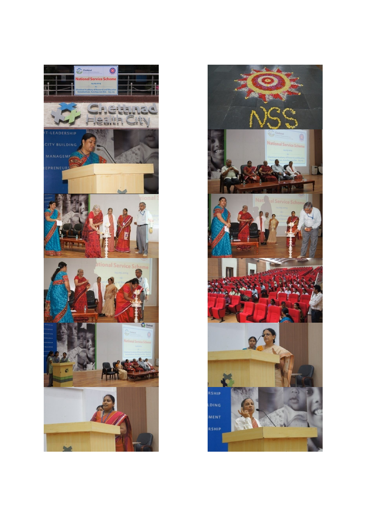

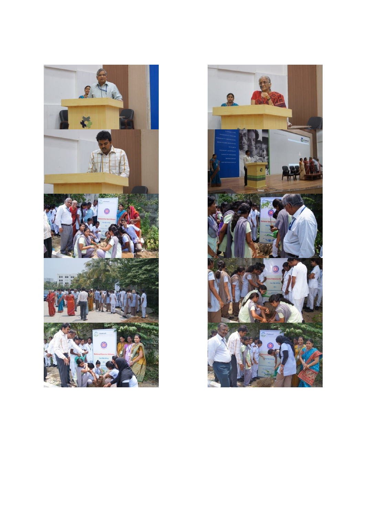